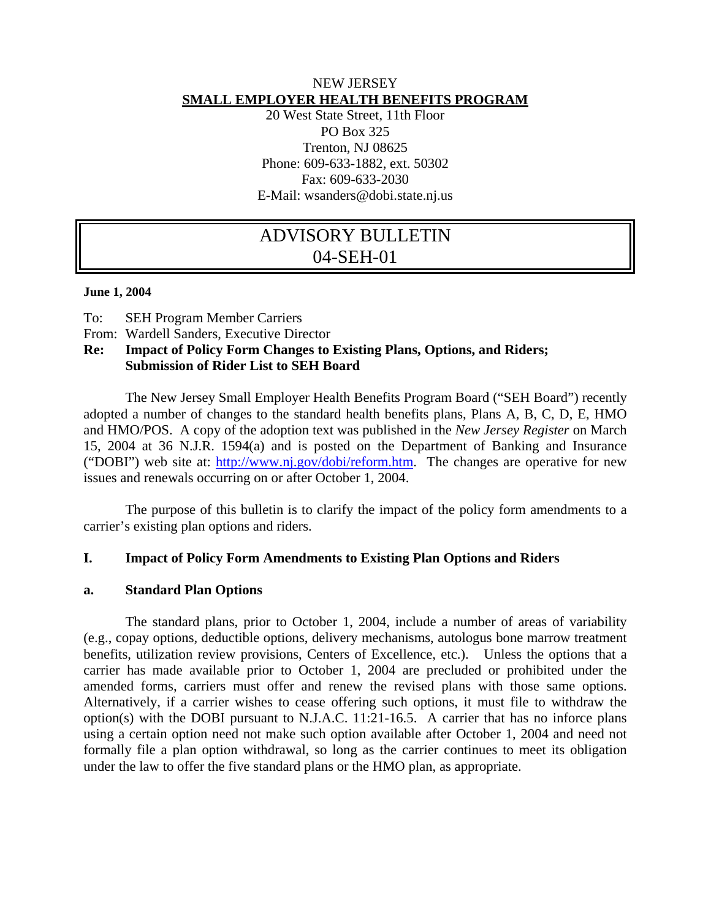## NEW JERSEY **SMALL EMPLOYER HEALTH BENEFITS PROGRAM**

20 West State Street, 11th Floor PO Box 325 Trenton, NJ 08625 Phone: 609-633-1882, ext. 50302 Fax: 609-633-2030 E-Mail: wsanders@dobi.state.nj.us

# ADVISORY BULLETIN 04-SEH-01

#### **June 1, 2004**

- To: SEH Program Member Carriers
- From: Wardell Sanders, Executive Director

# **Re: Impact of Policy Form Changes to Existing Plans, Options, and Riders; Submission of Rider List to SEH Board**

The New Jersey Small Employer Health Benefits Program Board ("SEH Board") recently adopted a number of changes to the standard health benefits plans, Plans A, B, C, D, E, HMO and HMO/POS. A copy of the adoption text was published in the *New Jersey Register* on March 15, 2004 at 36 N.J.R. 1594(a) and is posted on the Department of Banking and Insurance ("DOBI") web site at: http://www.nj.gov/dobi/reform.htm. The changes are operative for new issues and renewals occurring on or after October 1, 2004.

The purpose of this bulletin is to clarify the impact of the policy form amendments to a carrier's existing plan options and riders.

# **I. Impact of Policy Form Amendments to Existing Plan Options and Riders**

#### **a. Standard Plan Options**

The standard plans, prior to October 1, 2004, include a number of areas of variability (e.g., copay options, deductible options, delivery mechanisms, autologus bone marrow treatment benefits, utilization review provisions, Centers of Excellence, etc.). Unless the options that a carrier has made available prior to October 1, 2004 are precluded or prohibited under the amended forms, carriers must offer and renew the revised plans with those same options. Alternatively, if a carrier wishes to cease offering such options, it must file to withdraw the option(s) with the DOBI pursuant to N.J.A.C. 11:21-16.5. A carrier that has no inforce plans using a certain option need not make such option available after October 1, 2004 and need not formally file a plan option withdrawal, so long as the carrier continues to meet its obligation under the law to offer the five standard plans or the HMO plan, as appropriate.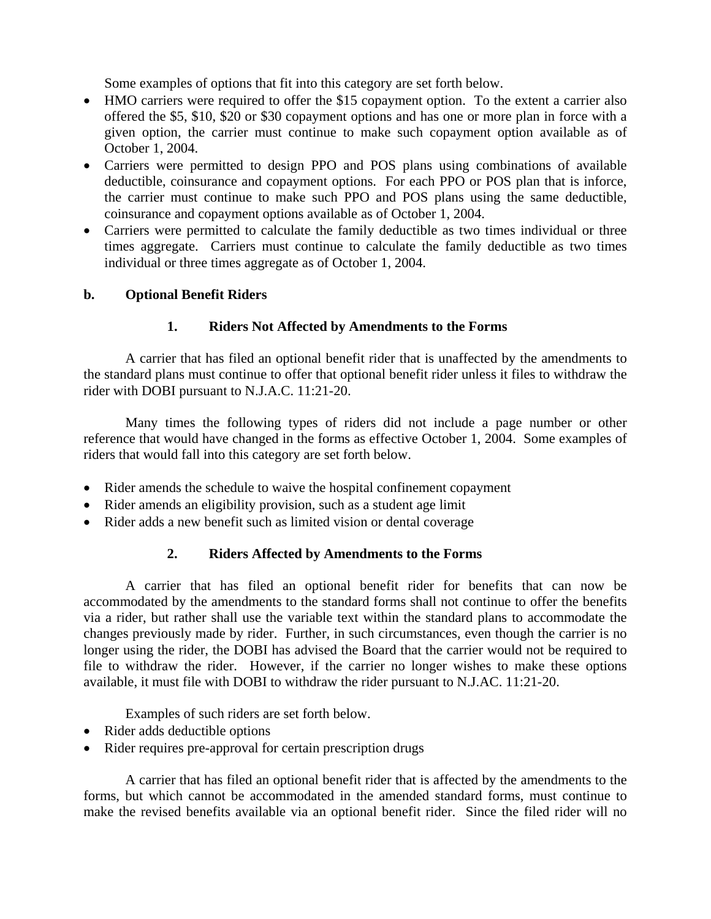Some examples of options that fit into this category are set forth below.

- HMO carriers were required to offer the \$15 copayment option. To the extent a carrier also offered the \$5, \$10, \$20 or \$30 copayment options and has one or more plan in force with a given option, the carrier must continue to make such copayment option available as of October 1, 2004.
- Carriers were permitted to design PPO and POS plans using combinations of available deductible, coinsurance and copayment options. For each PPO or POS plan that is inforce, the carrier must continue to make such PPO and POS plans using the same deductible, coinsurance and copayment options available as of October 1, 2004.
- Carriers were permitted to calculate the family deductible as two times individual or three times aggregate. Carriers must continue to calculate the family deductible as two times individual or three times aggregate as of October 1, 2004.

### **b. Optional Benefit Riders**

### **1. Riders Not Affected by Amendments to the Forms**

A carrier that has filed an optional benefit rider that is unaffected by the amendments to the standard plans must continue to offer that optional benefit rider unless it files to withdraw the rider with DOBI pursuant to N.J.A.C. 11:21-20.

Many times the following types of riders did not include a page number or other reference that would have changed in the forms as effective October 1, 2004. Some examples of riders that would fall into this category are set forth below.

- Rider amends the schedule to waive the hospital confinement copayment
- Rider amends an eligibility provision, such as a student age limit
- Rider adds a new benefit such as limited vision or dental coverage

# **2. Riders Affected by Amendments to the Forms**

A carrier that has filed an optional benefit rider for benefits that can now be accommodated by the amendments to the standard forms shall not continue to offer the benefits via a rider, but rather shall use the variable text within the standard plans to accommodate the changes previously made by rider. Further, in such circumstances, even though the carrier is no longer using the rider, the DOBI has advised the Board that the carrier would not be required to file to withdraw the rider. However, if the carrier no longer wishes to make these options available, it must file with DOBI to withdraw the rider pursuant to N.J.AC. 11:21-20.

Examples of such riders are set forth below.

- Rider adds deductible options
- Rider requires pre-approval for certain prescription drugs

A carrier that has filed an optional benefit rider that is affected by the amendments to the forms, but which cannot be accommodated in the amended standard forms, must continue to make the revised benefits available via an optional benefit rider. Since the filed rider will no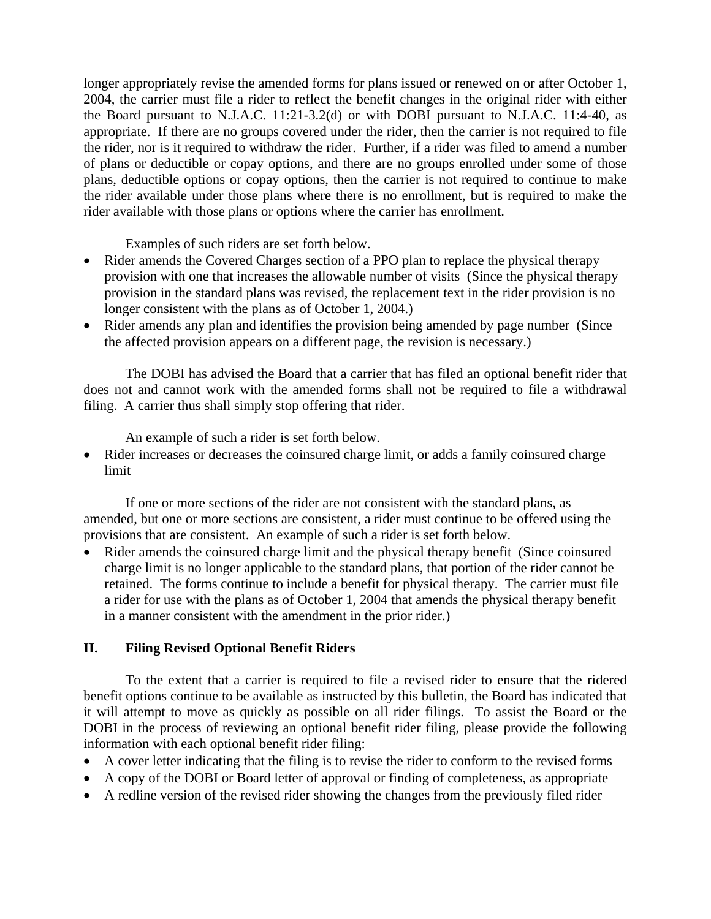longer appropriately revise the amended forms for plans issued or renewed on or after October 1, 2004, the carrier must file a rider to reflect the benefit changes in the original rider with either the Board pursuant to N.J.A.C. 11:21-3.2(d) or with DOBI pursuant to N.J.A.C. 11:4-40, as appropriate. If there are no groups covered under the rider, then the carrier is not required to file the rider, nor is it required to withdraw the rider. Further, if a rider was filed to amend a number of plans or deductible or copay options, and there are no groups enrolled under some of those plans, deductible options or copay options, then the carrier is not required to continue to make the rider available under those plans where there is no enrollment, but is required to make the rider available with those plans or options where the carrier has enrollment.

Examples of such riders are set forth below.

- Rider amends the Covered Charges section of a PPO plan to replace the physical therapy provision with one that increases the allowable number of visits (Since the physical therapy provision in the standard plans was revised, the replacement text in the rider provision is no longer consistent with the plans as of October 1, 2004.)
- Rider amends any plan and identifies the provision being amended by page number (Since the affected provision appears on a different page, the revision is necessary.)

The DOBI has advised the Board that a carrier that has filed an optional benefit rider that does not and cannot work with the amended forms shall not be required to file a withdrawal filing. A carrier thus shall simply stop offering that rider.

An example of such a rider is set forth below.

• Rider increases or decreases the coinsured charge limit, or adds a family coinsured charge limit

If one or more sections of the rider are not consistent with the standard plans, as amended, but one or more sections are consistent, a rider must continue to be offered using the provisions that are consistent. An example of such a rider is set forth below.

• Rider amends the coinsured charge limit and the physical therapy benefit (Since coinsured charge limit is no longer applicable to the standard plans, that portion of the rider cannot be retained. The forms continue to include a benefit for physical therapy. The carrier must file a rider for use with the plans as of October 1, 2004 that amends the physical therapy benefit in a manner consistent with the amendment in the prior rider.)

# **II. Filing Revised Optional Benefit Riders**

To the extent that a carrier is required to file a revised rider to ensure that the ridered benefit options continue to be available as instructed by this bulletin, the Board has indicated that it will attempt to move as quickly as possible on all rider filings. To assist the Board or the DOBI in the process of reviewing an optional benefit rider filing, please provide the following information with each optional benefit rider filing:

- A cover letter indicating that the filing is to revise the rider to conform to the revised forms
- A copy of the DOBI or Board letter of approval or finding of completeness, as appropriate
- A redline version of the revised rider showing the changes from the previously filed rider